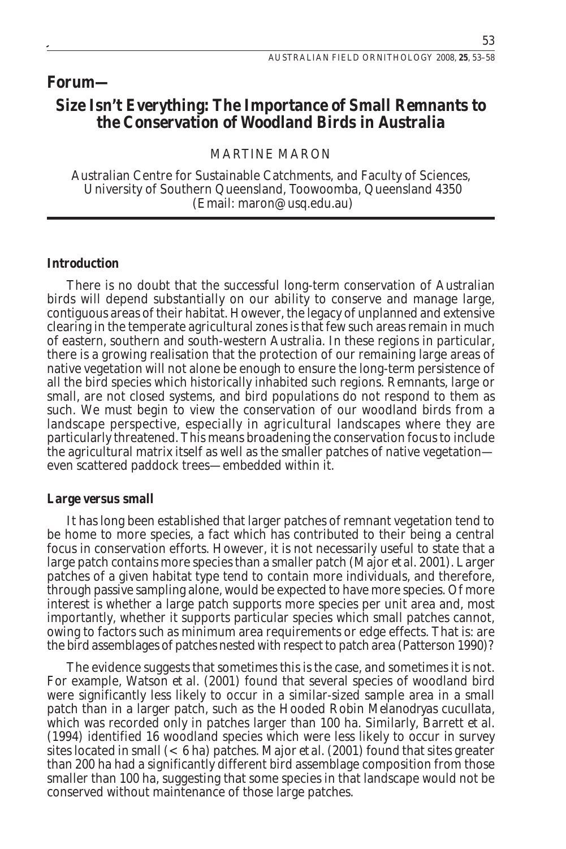# **Forum—**

# **Size Isn't Everything: The Importance of Small Remnants to the Conservation of Woodland Birds in Australia**

# MARTINE MARON

Australian Centre for Sustainable Catchments, and Faculty of Sciences, University of Southern Queensland, Toowoomba, Queensland 4350 (Email: maron@usq.edu.au)

#### **Introduction**

There is no doubt that the successful long-term conservation of Australian birds will depend substantially on our ability to conserve and manage large, contiguous areas of their habitat. However, the legacy of unplanned and extensive clearing in the temperate agricultural zones is that few such areas remain in much of eastern, southern and south-western Australia. In these regions in particular, there is a growing realisation that the protection of our remaining large areas of native vegetation will not alone be enough to ensure the long-term persistence of all the bird species which historically inhabited such regions. Remnants, large or small, are not closed systems, and bird populations do not respond to them as such. We must begin to view the conservation of our woodland birds from a landscape perspective, especially in agricultural landscapes where they are particularly threatened. This means broadening the conservation focus to include the agricultural matrix itself as well as the smaller patches of native vegetation even scattered paddock trees—embedded within it.

#### **Large versus small**

It has long been established that larger patches of remnant vegetation tend to be home to more species, a fact which has contributed to their being a central focus in conservation efforts. However, it is not necessarily useful to state that a large patch contains more species than a smaller patch (Major *et al.* 2001). Larger patches of a given habitat type tend to contain more individuals, and therefore, through passive sampling alone, would be expected to have more species. Of more interest is whether a large patch supports more species per unit area and, most importantly, whether it supports particular species which small patches cannot, owing to factors such as minimum area requirements or edge effects. That is: are the bird assemblages of patches nested with respect to patch area (Patterson 1990)?

The evidence suggests that sometimes this is the case, and sometimes it is not. For example, Watson *et al.* (2001) found that several species of woodland bird were significantly less likely to occur in a similar-sized sample area in a small patch than in a larger patch, such as the Hooded Robin *Melanodryas cucullata*, which was recorded only in patches larger than 100 ha. Similarly, Barrett *et al.* (1994) identified 16 woodland species which were less likely to occur in survey sites located in small (< 6 ha) patches. Major *et al.* (2001) found that sites greater than 200 ha had a significantly different bird assemblage composition from those smaller than 100 ha, suggesting that some species in that landscape would not be conserved without maintenance of those large patches.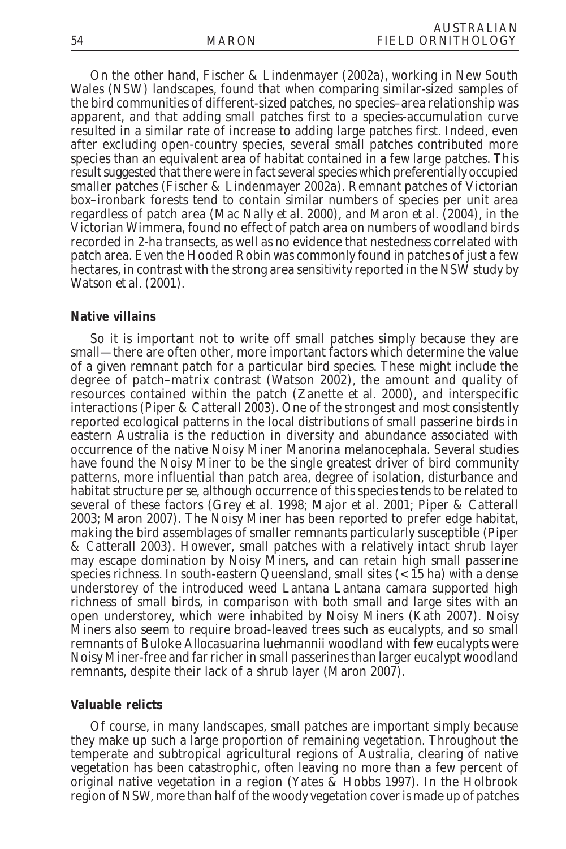On the other hand, Fischer & Lindenmayer (2002a), working in New South Wales (NSW) landscapes, found that when comparing similar-sized samples of the bird communities of different-sized patches, no species–area relationship was apparent, and that adding small patches first to a species-accumulation curve resulted in a similar rate of increase to adding large patches first. Indeed, even after excluding open-country species, several small patches contributed more species than an equivalent area of habitat contained in a few large patches. This result suggested that there were in fact several species which preferentially occupied smaller patches (Fischer & Lindenmayer 2002a). Remnant patches of Victorian box–ironbark forests tend to contain similar numbers of species per unit area regardless of patch area (Mac Nally *et al.* 2000), and Maron *et al.* (2004), in the Victorian Wimmera, found no effect of patch area on numbers of woodland birds recorded in 2-ha transects, as well as no evidence that nestedness correlated with patch area. Even the Hooded Robin was commonly found in patches of just a few hectares, in contrast with the strong area sensitivity reported in the NSW study by Watson *et al.* (2001).

#### **Native villains**

So it is important not to write off small patches simply because they are small—there are often other, more important factors which determine the value of a given remnant patch for a particular bird species. These might include the degree of patch–matrix contrast (Watson 2002), the amount and quality of resources contained within the patch (Zanette *et al.* 2000), and interspecific interactions (Piper & Catterall 2003). One of the strongest and most consistently reported ecological patterns in the local distributions of small passerine birds in eastern Australia is the reduction in diversity and abundance associated with occurrence of the native Noisy Miner *Manorina melanocephala*. Several studies have found the Noisy Miner to be the single greatest driver of bird community patterns, more influential than patch area, degree of isolation, disturbance and habitat structure *per se*, although occurrence of this species tends to be related to several of these factors (Grey *et al.* 1998; Major *et al.* 2001; Piper & Catterall 2003; Maron 2007). The Noisy Miner has been reported to prefer edge habitat, making the bird assemblages of smaller remnants particularly susceptible (Piper & Catterall 2003). However, small patches with a relatively intact shrub layer may escape domination by Noisy Miners, and can retain high small passerine species richness. In south-eastern Queensland, small sites  $(< 15$  ha) with a dense understorey of the introduced weed Lantana *Lantana camara* supported high richness of small birds, in comparison with both small and large sites with an open understorey, which were inhabited by Noisy Miners (Kath 2007). Noisy Miners also seem to require broad-leaved trees such as eucalypts, and so small remnants of Buloke *Allocasuarina luehmannii* woodland with few eucalypts were Noisy Miner-free and far richer in small passerines than larger eucalypt woodland remnants, despite their lack of a shrub layer (Maron 2007).

## **Valuable relicts**

Of course, in many landscapes, small patches are important simply because they make up such a large proportion of remaining vegetation. Throughout the temperate and subtropical agricultural regions of Australia, clearing of native vegetation has been catastrophic, often leaving no more than a few percent of original native vegetation in a region (Yates & Hobbs 1997). In the Holbrook region of NSW, more than half of the woody vegetation cover is made up of patches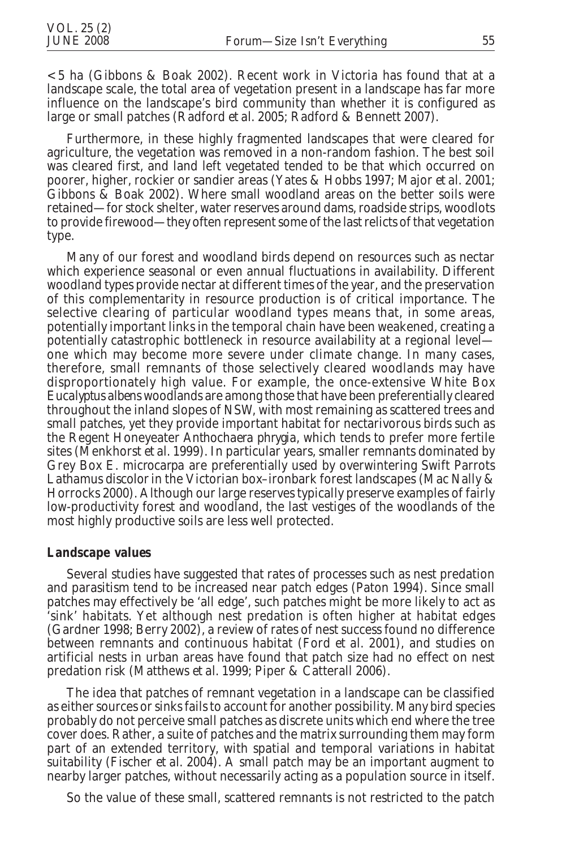<5 ha (Gibbons & Boak 2002). Recent work in Victoria has found that at a landscape scale, the total area of vegetation present in a landscape has far more influence on the landscape's bird community than whether it is configured as large or small patches (Radford *et al.* 2005; Radford & Bennett 2007).

Furthermore, in these highly fragmented landscapes that were cleared for agriculture, the vegetation was removed in a non-random fashion. The best soil was cleared first, and land left vegetated tended to be that which occurred on poorer, higher, rockier or sandier areas (Yates & Hobbs 1997; Major *et al.* 2001; Gibbons & Boak 2002). Where small woodland areas on the better soils were retained—for stock shelter, water reserves around dams, roadside strips, woodlots to provide firewood—they often represent some of the last relicts of that vegetation type.

Many of our forest and woodland birds depend on resources such as nectar which experience seasonal or even annual fluctuations in availability. Different woodland types provide nectar at different times of the year, and the preservation of this complementarity in resource production is of critical importance. The selective clearing of particular woodland types means that, in some areas, potentially important links in the temporal chain have been weakened, creating a potentially catastrophic bottleneck in resource availability at a regional level one which may become more severe under climate change. In many cases, therefore, small remnants of those selectively cleared woodlands may have disproportionately high value. For example, the once-extensive White Box *Eucalyptus albens* woodlands are among those that have been preferentially cleared throughout the inland slopes of NSW, with most remaining as scattered trees and small patches, yet they provide important habitat for nectarivorous birds such as the Regent Honeyeater *Anthochaera phrygia*, which tends to prefer more fertile sites (Menkhorst *et al.* 1999). In particular years, smaller remnants dominated by Grey Box *E. microcarpa* are preferentially used by overwintering Swift Parrots *Lathamus discolor* in the Victorian box–ironbark forest landscapes (Mac Nally & Horrocks 2000). Although our large reserves typically preserve examples of fairly low-productivity forest and woodland, the last vestiges of the woodlands of the most highly productive soils are less well protected.

## **Landscape values**

Several studies have suggested that rates of processes such as nest predation and parasitism tend to be increased near patch edges (Paton 1994). Since small patches may effectively be 'all edge', such patches might be more likely to act as 'sink' habitats. Yet although nest predation is often higher at habitat edges (Gardner 1998; Berry 2002), a review of rates of nest success found no difference between remnants and continuous habitat (Ford *et al.* 2001), and studies on artificial nests in urban areas have found that patch size had no effect on nest predation risk (Matthews *et al.* 1999; Piper & Catterall 2006).

The idea that patches of remnant vegetation in a landscape can be classified as either sources or sinks fails to account for another possibility. Many bird species probably do not perceive small patches as discrete units which end where the tree cover does. Rather, a suite of patches and the matrix surrounding them may form part of an extended territory, with spatial and temporal variations in habitat suitability (Fischer *et al.* 2004). A small patch may be an important augment to nearby larger patches, without necessarily acting as a population source in itself.

So the value of these small, scattered remnants is not restricted to the patch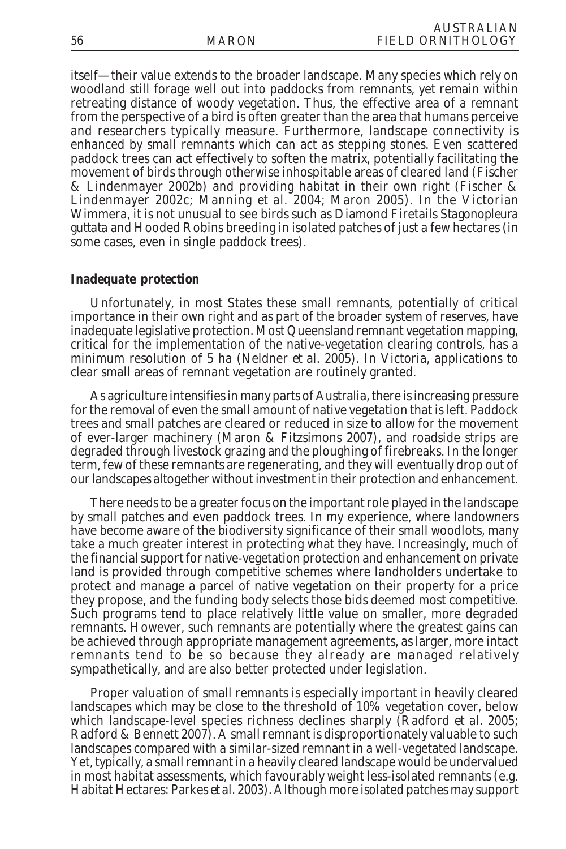itself—their value extends to the broader landscape. Many species which rely on woodland still forage well out into paddocks from remnants, yet remain within retreating distance of woody vegetation. Thus, the effective area of a remnant from the perspective of a bird is often greater than the area that humans perceive and researchers typically measure. Furthermore, landscape connectivity is enhanced by small remnants which can act as stepping stones. Even scattered paddock trees can act effectively to soften the matrix, potentially facilitating the movement of birds through otherwise inhospitable areas of cleared land (Fischer & Lindenmayer 2002b) and providing habitat in their own right (Fischer & Lindenmayer 2002c; Manning *et al.* 2004; Maron 2005). In the Victorian Wimmera, it is not unusual to see birds such as Diamond Firetails *Stagonopleura guttata* and Hooded Robins breeding in isolated patches of just a few hectares (in some cases, even in single paddock trees).

## **Inadequate protection**

Unfortunately, in most States these small remnants, potentially of critical importance in their own right and as part of the broader system of reserves, have inadequate legislative protection. Most Queensland remnant vegetation mapping, critical for the implementation of the native-vegetation clearing controls, has a minimum resolution of 5 ha (Neldner *et al.* 2005). In Victoria, applications to clear small areas of remnant vegetation are routinely granted.

As agriculture intensifies in many parts of Australia, there is increasing pressure for the removal of even the small amount of native vegetation that is left. Paddock trees and small patches are cleared or reduced in size to allow for the movement of ever-larger machinery (Maron & Fitzsimons 2007), and roadside strips are degraded through livestock grazing and the ploughing of firebreaks. In the longer term, few of these remnants are regenerating, and they will eventually drop out of our landscapes altogether without investment in their protection and enhancement.

There needs to be a greater focus on the important role played in the landscape by small patches and even paddock trees. In my experience, where landowners have become aware of the biodiversity significance of their small woodlots, many take a much greater interest in protecting what they have. Increasingly, much of the financial support for native-vegetation protection and enhancement on private land is provided through competitive schemes where landholders undertake to protect and manage a parcel of native vegetation on their property for a price they propose, and the funding body selects those bids deemed most competitive. Such programs tend to place relatively little value on smaller, more degraded remnants. However, such remnants are potentially where the greatest gains can be achieved through appropriate management agreements, as larger, more intact remnants tend to be so because they already are managed relatively sympathetically, and are also better protected under legislation.

Proper valuation of small remnants is especially important in heavily cleared landscapes which may be close to the threshold of 10% vegetation cover, below which landscape-level species richness declines sharply (Radford *et al.* 2005; Radford & Bennett 2007). A small remnant is disproportionately valuable to such landscapes compared with a similar-sized remnant in a well-vegetated landscape. Yet, typically, a small remnant in a heavily cleared landscape would be undervalued in most habitat assessments, which favourably weight less-isolated remnants (e.g. Habitat Hectares: Parkes *et al.* 2003). Although more isolated patches may support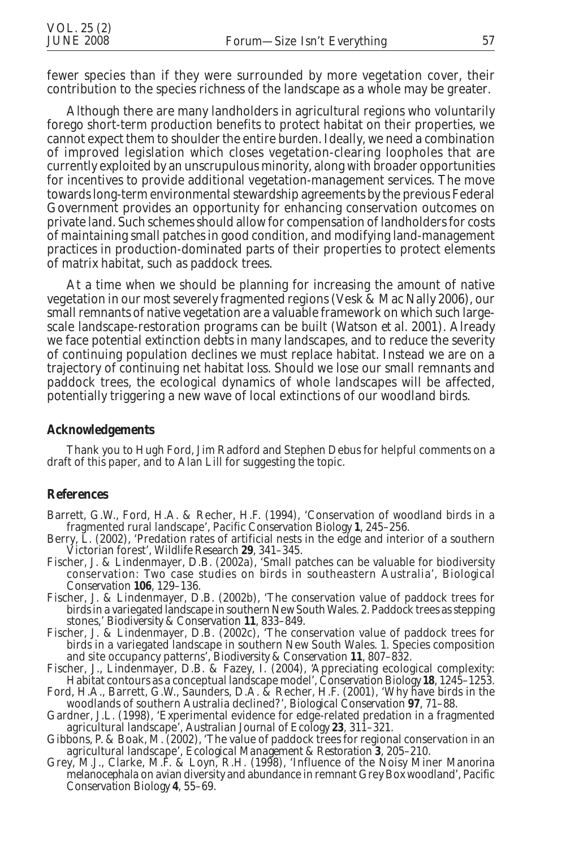fewer species than if they were surrounded by more vegetation cover, their contribution to the species richness of the landscape as a whole may be greater.

Although there are many landholders in agricultural regions who voluntarily forego short-term production benefits to protect habitat on their properties, we cannot expect them to shoulder the entire burden. Ideally, we need a combination of improved legislation which closes vegetation-clearing loopholes that are currently exploited by an unscrupulous minority, along with broader opportunities for incentives to provide additional vegetation-management services. The move towards long-term environmental stewardship agreements by the previous Federal Government provides an opportunity for enhancing conservation outcomes on private land. Such schemes should allow for compensation of landholders for costs of maintaining small patches in good condition, and modifying land-management practices in production-dominated parts of their properties to protect elements of matrix habitat, such as paddock trees.

At a time when we should be planning for increasing the amount of native vegetation in our most severely fragmented regions (Vesk & Mac Nally 2006), our small remnants of native vegetation are a valuable framework on which such largescale landscape-restoration programs can be built (Watson *et al.* 2001). Already we face potential extinction debts in many landscapes, and to reduce the severity of continuing population declines we must replace habitat. Instead we are on a trajectory of continuing net habitat loss. Should we lose our small remnants and paddock trees, the ecological dynamics of whole landscapes will be affected, potentially triggering a new wave of local extinctions of our woodland birds.

#### **Acknowledgements**

Thank you to Hugh Ford, Jim Radford and Stephen Debus for helpful comments on a draft of this paper, and to Alan Lill for suggesting the topic.

## **References**

- Barrett, G.W., Ford, H.A. & Recher, H.F. (1994), 'Conservation of woodland birds in a fragmented rural landscape', *Pacific Conservation Biology* **1**, 245–256.
- Berry, L. (2002), 'Predation rates of artificial nests in the edge and interior of a southern Victorian forest', *Wildlife Research* **<sup>29</sup>**, 341–345.
- Fischer, J. & Lindenmayer, D.B. (2002a), 'Small patches can be valuable for biodiversity conservation: Two case studies on birds in southeastern Australia', *Biological Conservation* **106**, 129–136.
- Fischer, J. & Lindenmayer, D.B. (2002b), 'The conservation value of paddock trees for birds in a variegated landscape in southern New South Wales. 2. Paddock trees as stepping stones,' *Biodiversity & Conservation* **11**, 833–849.
- Fischer, J. & Lindenmayer, D.B. (2002c), 'The conservation value of paddock trees for birds in a variegated landscape in southern New South Wales. 1. Species composition and site occupancy patterns', *Biodiversity & Conservation* **11**, 807–832.
- Fischer, J., Lindenmayer, D.B. & Fazey, I. (2004), 'Appreciating ecological complexity: Habitat contours as a conceptual landscape model', *Conservation Biology* **18**, 1245–1253.
- Ford, H.A., Barrett, G.W., Saunders, D.A. & Recher, H.F. (2001), 'Why have birds in the woodlands of southern Australia declined?', *Biological Conservation* **97**, 71–88.
- Gardner, J.L. (1998), 'Experimental evidence for edge-related predation in a fragmented agricultural landscape', *Australian Journal of Ecology* **23**, 311–321.
- Gibbons, P. & Boak, M. (2002), 'The value of paddock trees for regional conservation in an agricultural landscape', *Ecological Management & Restoration* **3**, 205–210.
- Grey, M.J., Clarke, M.F. & Loyn, R.H. (1998), 'Influence of the Noisy Miner *Manorina melanocephala* on avian diversity and abundance in remnant Grey Box woodland', *Pacific Conservation Biology* **4**, 55–69.